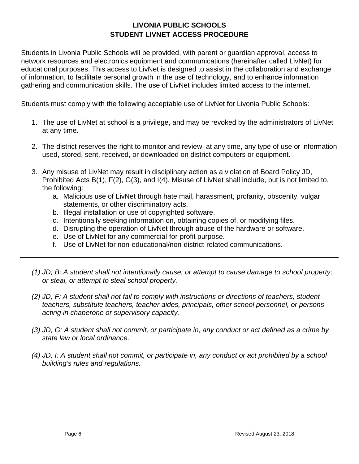## **LIVONIA PUBLIC SCHOOLS STUDENT LIVNET ACCESS PROCEDURE**

Students in Livonia Public Schools will be provided, with parent or guardian approval, access to network resources and electronics equipment and communications (hereinafter called LivNet) for educational purposes. This access to LivNet is designed to assist in the collaboration and exchange of information, to facilitate personal growth in the use of technology, and to enhance information gathering and communication skills. The use of LivNet includes limited access to the internet.

Students must comply with the following acceptable use of LivNet for Livonia Public Schools:

- 1. The use of LivNet at school is a privilege, and may be revoked by the administrators of LivNet at any time.
- 2. The district reserves the right to monitor and review, at any time, any type of use or information used, stored, sent, received, or downloaded on district computers or equipment.
- 3. Any misuse of LivNet may result in disciplinary action as a violation of Board Policy JD, Prohibited Acts B(1), F(2), G(3), and I(4). Misuse of LivNet shall include, but is not limited to, the following:
	- a. Malicious use of LivNet through hate mail, harassment, profanity, obscenity, vulgar statements, or other discriminatory acts.
	- b. Illegal installation or use of copyrighted software.
	- c. Intentionally seeking information on, obtaining copies of, or modifying files.
	- d. Disrupting the operation of LivNet through abuse of the hardware or software.
	- e. Use of LivNet for any commercial-for-profit purpose.
	- f. Use of LivNet for non-educational/non-district-related communications.
- *(1) JD, B: A student shall not intentionally cause, or attempt to cause damage to school property; or steal, or attempt to steal school property.*
- *(2) JD, F: A student shall not fail to comply with instructions or directions of teachers, student teachers, substitute teachers, teacher aides, principals, other school personnel, or persons acting in chaperone or supervisory capacity.*
- *(3) JD, G: A student shall not commit, or participate in, any conduct or act defined as a crime by state law or local ordinance.*
- *(4) JD, I: A student shall not commit, or participate in, any conduct or act prohibited by a school building's rules and regulations.*